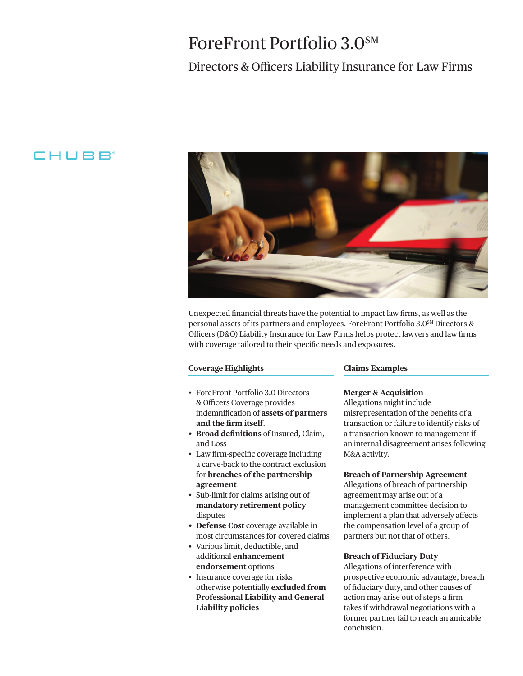# ForeFront Portfolio 3.0SM

## Directors & Officers Liability Insurance for Law Firms

## CHUBB



Unexpected fnancial threats have the potential to impact law frms, as well as the personal assets of its partners and employees. ForeFront Portfolio 3.0SM Directors & Officers (D&O) Liability Insurance for Law Firms helps protect lawyers and law firms with coverage tailored to their specifc needs and exposures.

#### **Coverage Highlights**

- ForeFront Portfolio 3.0 Directors & Officers Coverage provides indemnifcation of **assets of partners and the frm itself**.
- **Broad defnitions** of Insured, Claim, and Loss
- Law frm-specifc coverage including a carve-back to the contract exclusion for **breaches of the partnership agreement**
- Sub-limit for claims arising out of **mandatory retirement policy**  disputes
- **Defense Cost** coverage available in most circumstances for covered claims
- Various limit, deductible, and additional **enhancement endorsement** options
- Insurance coverage for risks otherwise potentially **excluded from Professional Liability and General Liability policies**

#### **Claims Examples**

#### **Merger & Acquisition**

Allegations might include misrepresentation of the benefts of a transaction or failure to identify risks of a transaction known to management if an internal disagreement arises following M&A activity.

#### **Breach of Parnership Agreement**

Allegations of breach of partnership agreement may arise out of a management committee decision to implement a plan that adversely afects the compensation level of a group of partners but not that of others.

#### **Breach of Fiduciary Duty**

Allegations of interference with prospective economic advantage, breach of fduciary duty, and other causes of action may arise out of steps a frm takes if withdrawal negotiations with a former partner fail to reach an amicable conclusion.